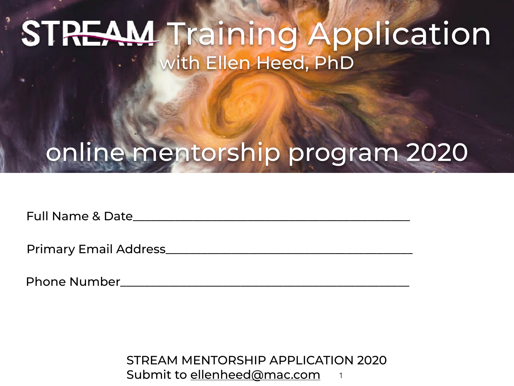## **STREAM Training Application** with Ellen Heed, PhD

## online mentorship program 2020

Full Name & Date

Primary Email Address\_

Phone Number\_\_\_\_\_\_\_\_\_\_\_\_\_\_\_\_\_\_\_\_\_\_\_\_\_\_\_\_\_\_\_\_\_\_\_\_\_\_\_\_\_\_\_\_\_\_\_\_

STREAM MENTORSHIP APPLICATION 2020 Submit to [ellenheed@mac.com](mailto:ellenheed@mac.com)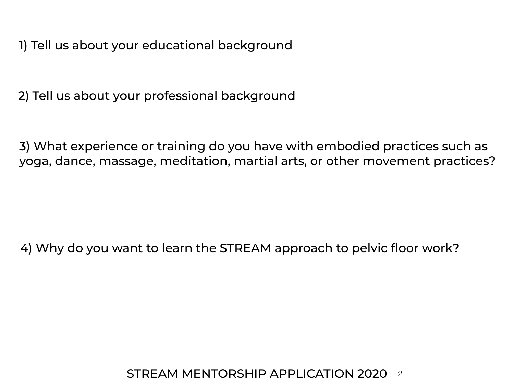1) Tell us about your educational background

2) Tell us about your professional background

3) What experience or training do you have with embodied practices such as yoga, dance, massage, meditation, martial arts, or other movement practices?

4) Why do you want to learn the STREAM approach to pelvic floor work?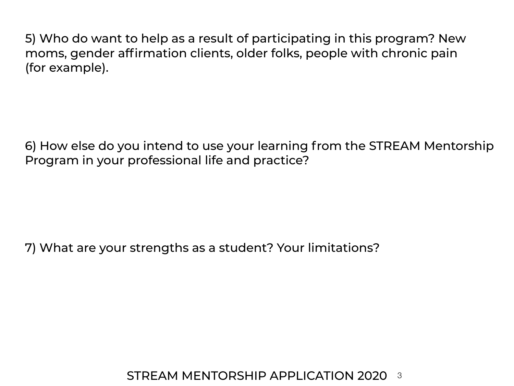5) Who do want to help as a result of participating in this program? New moms, gender affirmation clients, older folks, people with chronic pain (for example).

6) How else do you intend to use your learning from the STREAM Mentorship Program in your professional life and practice?

7) What are your strengths as a student? Your limitations?

STREAM MENTORSHIP APPLICATION 2020 3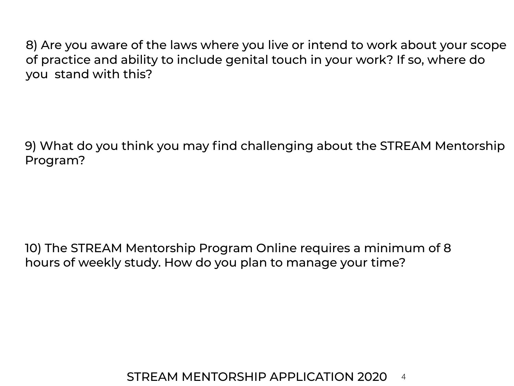8) Are you aware of the laws where you live or intend to work about your scope of practice and ability to include genital touch in your work? If so, where do you stand with this?

9) What do you think you may find challenging about the STREAM Mentorship Program?

10) The STREAM Mentorship Program Online requires a minimum of 8 hours of weekly study. How do you plan to manage your time?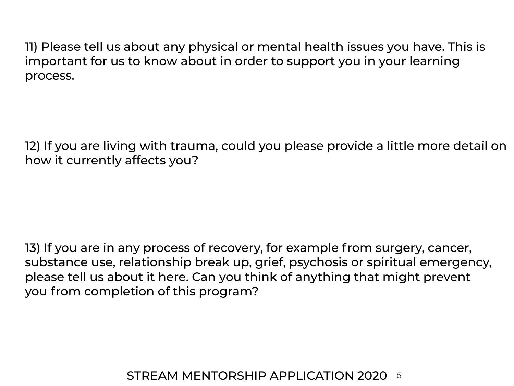11) Please tell us about any physical or mental health issues you have. This is important for us to know about in order to support you in your learning process.

12) If you are living with trauma, could you please provide a little more detail on how it currently affects you?

13) If you are in any process of recovery, for example from surgery, cancer, substance use, relationship break up, grief, psychosis or spiritual emergency, please tell us about it here. Can you think of anything that might prevent you from completion of this program?

## STREAM MENTORSHIP APPLICATION 2020 5